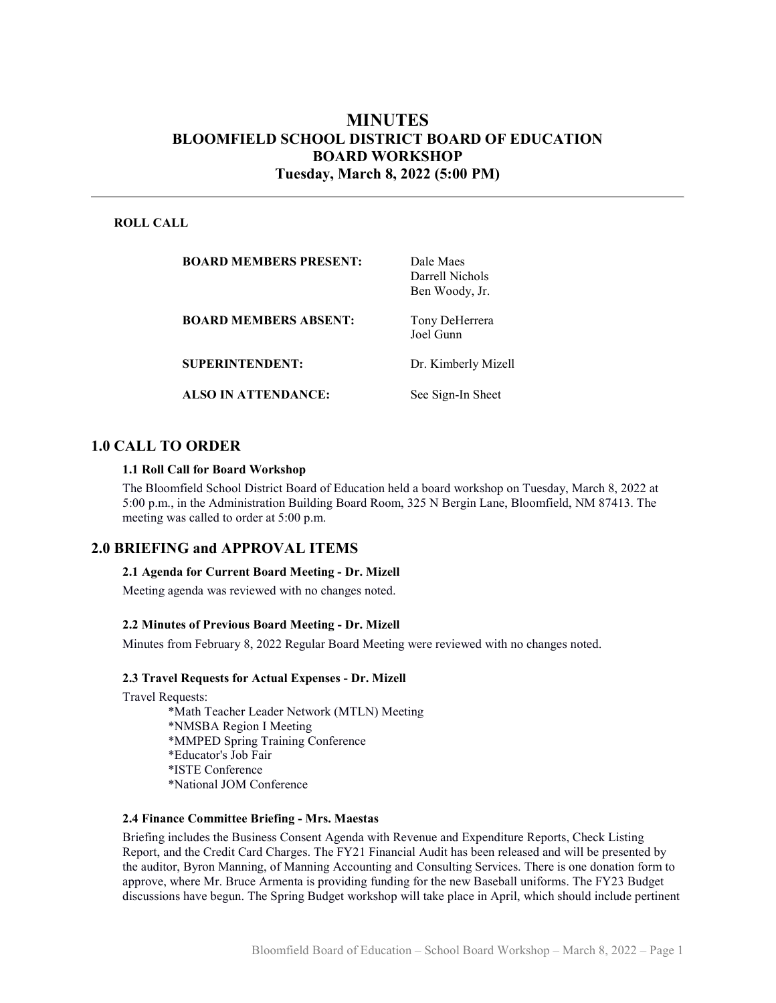# MINUTES BLOOMFIELD SCHOOL DISTRICT BOARD OF EDUCATION BOARD WORKSHOP Tuesday, March 8, 2022 (5:00 PM)

### ROLL CALL

| <b>BOARD MEMBERS PRESENT:</b> | Dale Maes<br>Darrell Nichols<br>Ben Woody, Jr. |
|-------------------------------|------------------------------------------------|
| <b>BOARD MEMBERS ABSENT:</b>  | Tony DeHerrera<br>Joel Gunn                    |
| <b>SUPERINTENDENT:</b>        | Dr. Kimberly Mizell                            |
| <b>ALSO IN ATTENDANCE:</b>    | See Sign-In Sheet                              |

## 1.0 CALL TO ORDER

#### 1.1 Roll Call for Board Workshop

The Bloomfield School District Board of Education held a board workshop on Tuesday, March 8, 2022 at 5:00 p.m., in the Administration Building Board Room, 325 N Bergin Lane, Bloomfield, NM 87413. The meeting was called to order at 5:00 p.m.

### 2.0 BRIEFING and APPROVAL ITEMS

#### 2.1 Agenda for Current Board Meeting - Dr. Mizell

Meeting agenda was reviewed with no changes noted.

#### 2.2 Minutes of Previous Board Meeting - Dr. Mizell

Minutes from February 8, 2022 Regular Board Meeting were reviewed with no changes noted.

#### 2.3 Travel Requests for Actual Expenses - Dr. Mizell

Travel Requests:

\*Math Teacher Leader Network (MTLN) Meeting \*NMSBA Region I Meeting \*MMPED Spring Training Conference \*Educator's Job Fair \*ISTE Conference \*National JOM Conference

#### 2.4 Finance Committee Briefing - Mrs. Maestas

Briefing includes the Business Consent Agenda with Revenue and Expenditure Reports, Check Listing Report, and the Credit Card Charges. The FY21 Financial Audit has been released and will be presented by the auditor, Byron Manning, of Manning Accounting and Consulting Services. There is one donation form to approve, where Mr. Bruce Armenta is providing funding for the new Baseball uniforms. The FY23 Budget discussions have begun. The Spring Budget workshop will take place in April, which should include pertinent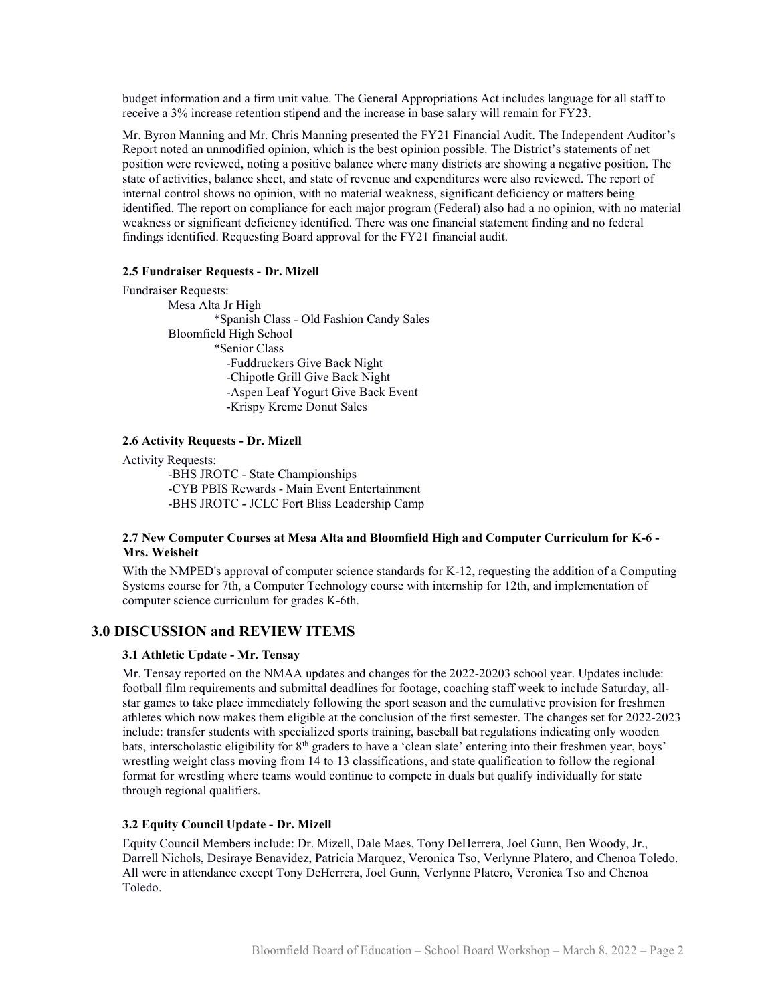budget information and a firm unit value. The General Appropriations Act includes language for all staff to receive a 3% increase retention stipend and the increase in base salary will remain for FY23.

Mr. Byron Manning and Mr. Chris Manning presented the FY21 Financial Audit. The Independent Auditor's Report noted an unmodified opinion, which is the best opinion possible. The District's statements of net position were reviewed, noting a positive balance where many districts are showing a negative position. The state of activities, balance sheet, and state of revenue and expenditures were also reviewed. The report of internal control shows no opinion, with no material weakness, significant deficiency or matters being identified. The report on compliance for each major program (Federal) also had a no opinion, with no material weakness or significant deficiency identified. There was one financial statement finding and no federal findings identified. Requesting Board approval for the FY21 financial audit.

### 2.5 Fundraiser Requests - Dr. Mizell

Fundraiser Requests:

Mesa Alta Jr High \*Spanish Class - Old Fashion Candy Sales Bloomfield High School \*Senior Class -Fuddruckers Give Back Night -Chipotle Grill Give Back Night -Aspen Leaf Yogurt Give Back Event -Krispy Kreme Donut Sales

#### 2.6 Activity Requests - Dr. Mizell

Activity Requests:

-BHS JROTC - State Championships -CYB PBIS Rewards - Main Event Entertainment -BHS JROTC - JCLC Fort Bliss Leadership Camp

### 2.7 New Computer Courses at Mesa Alta and Bloomfield High and Computer Curriculum for K-6 - Mrs. Weisheit

With the NMPED's approval of computer science standards for K-12, requesting the addition of a Computing Systems course for 7th, a Computer Technology course with internship for 12th, and implementation of computer science curriculum for grades K-6th.

### 3.0 DISCUSSION and REVIEW ITEMS

#### 3.1 Athletic Update - Mr. Tensay

Mr. Tensay reported on the NMAA updates and changes for the 2022-20203 school year. Updates include: football film requirements and submittal deadlines for footage, coaching staff week to include Saturday, allstar games to take place immediately following the sport season and the cumulative provision for freshmen athletes which now makes them eligible at the conclusion of the first semester. The changes set for 2022-2023 include: transfer students with specialized sports training, baseball bat regulations indicating only wooden bats, interscholastic eligibility for 8<sup>th</sup> graders to have a 'clean slate' entering into their freshmen year, boys' wrestling weight class moving from 14 to 13 classifications, and state qualification to follow the regional format for wrestling where teams would continue to compete in duals but qualify individually for state through regional qualifiers.

### 3.2 Equity Council Update - Dr. Mizell

Equity Council Members include: Dr. Mizell, Dale Maes, Tony DeHerrera, Joel Gunn, Ben Woody, Jr., Darrell Nichols, Desiraye Benavidez, Patricia Marquez, Veronica Tso, Verlynne Platero, and Chenoa Toledo. All were in attendance except Tony DeHerrera, Joel Gunn, Verlynne Platero, Veronica Tso and Chenoa Toledo.